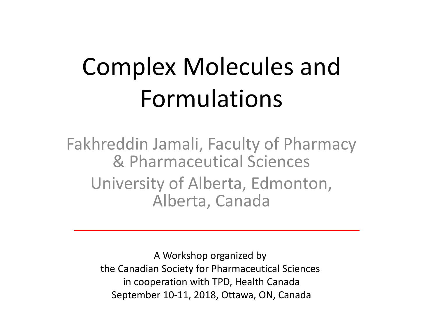# Complex Molecules and Formulations

Fakhreddin Jamali, Faculty of Pharmacy & Pharmaceutical Sciences University of Alberta, Edmonton, Alberta, Canada

> A Workshop organized by the Canadian Society for Pharmaceutical Sciences in cooperation with TPD, Health Canada September 10-11, 2018, Ottawa, ON, Canada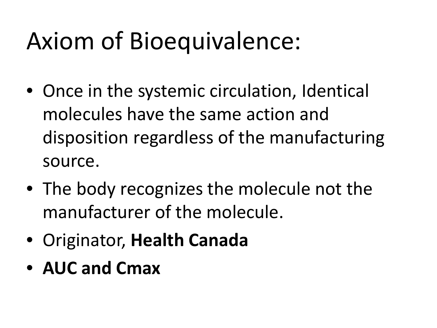# Axiom of Bioequivalence:

- Once in the systemic circulation, Identical molecules have the same action and disposition regardless of the manufacturing source.
- The body recognizes the molecule not the manufacturer of the molecule.
- Originator, **Health Canada**
- **AUC and Cmax**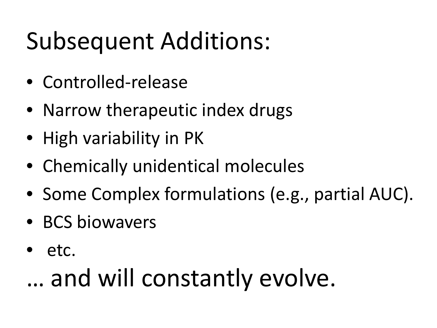# Subsequent Additions:

- Controlled-release
- Narrow therapeutic index drugs
- High variability in PK
- Chemically unidentical molecules
- Some Complex formulations (e.g., partial AUC).
- BCS biowavers
- etc.

# … and will constantly evolve.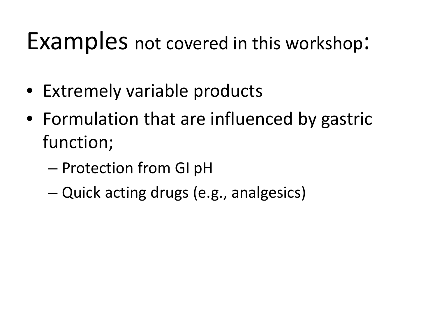## Examples not covered in this workshop:

- Extremely variable products
- Formulation that are influenced by gastric function;
	- Protection from GI pH
	- Quick acting drugs (e.g., analgesics)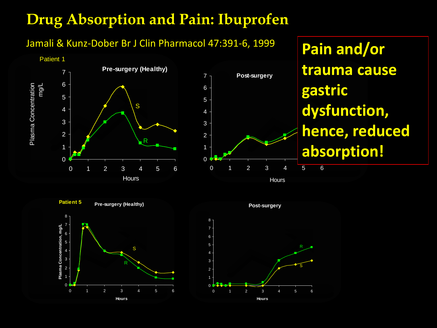#### **Drug Absorption and Pain: Ibuprofen**

#### Jamali & Kunz-Dober Br J Clin Pharmacol 47:391-6, 1999





### hence, reduced R **dysfunction, Pain and/or trauma cause gastric absorption!**



**Pre-surgery (Healthy)**





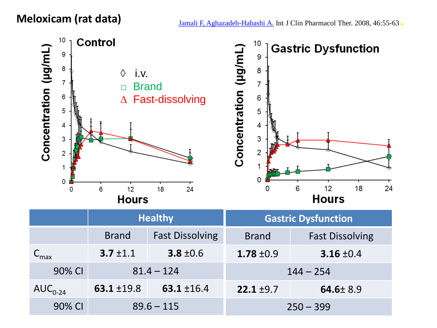

|                 | <b>Healthy</b>  |                        | <b>Gastric Dysfunction</b> |                        |
|-----------------|-----------------|------------------------|----------------------------|------------------------|
|                 | <b>Brand</b>    | <b>Fast Dissolving</b> | <b>Brand</b>               | <b>Fast Dissolving</b> |
| $\mathsf{m}$ ax | $3.7 \pm 1.1$   | 3.8 $\pm$ 0.6          | 1.78 $\pm$ 0.9             | 3.16 $\pm 0.4$         |
| 90% CI          | $81.4 - 124$    |                        | $144 - 254$                |                        |
| $AUC_{0-24}$    | 63.1 $\pm$ 19.8 | 63.1 $±16.4$           | $22.1 \pm 9.7$             | $64.6 \pm 8.9$         |
| 90% CI          | $89.6 - 115$    |                        | $250 - 399$                |                        |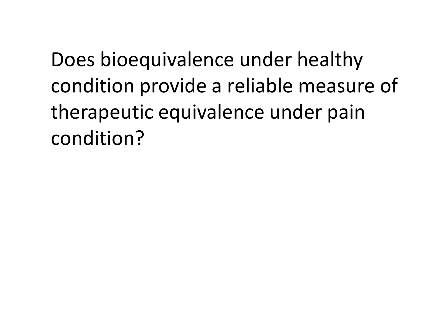Does bioequivalence under healthy condition provide a reliable measure of therapeutic equivalence under pain condition?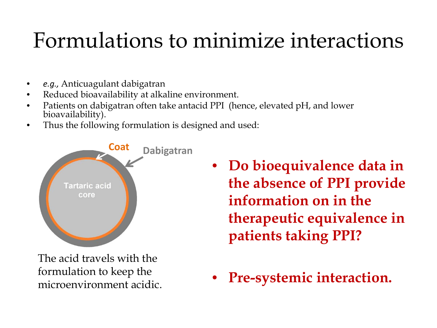### Formulations to minimize interactions

- *e.g.,* Anticuagulant dabigatran
- Reduced bioavailability at alkaline environment.
- Patients on dabigatran often take antacid PPI (hence, elevated pH, and lower bioavailability).
- Thus the following formulation is designed and used:



The acid travels with the formulation to keep the microenvironment acidic.

- **Do bioequivalence data in the absence of PPI provide information on in the therapeutic equivalence in patients taking PPI?**
- **Pre-systemic interaction.**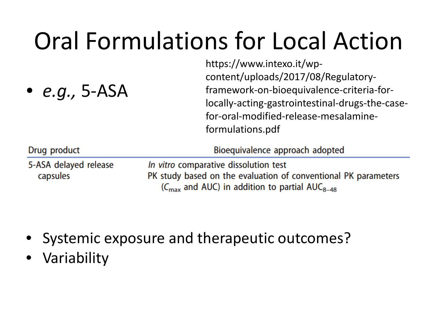# Oral Formulations for Local Action

https://www.intexo.it/wp-

| • $e.g.,$ 5-ASA                   | content/uploads/2017/08/Regulatory-<br>framework-on-bioequivalence-criteria-for-<br>locally-acting-gastrointestinal-drugs-the-case-<br>for-oral-modified-release-mesalamine-<br>formulations.pdf |
|-----------------------------------|--------------------------------------------------------------------------------------------------------------------------------------------------------------------------------------------------|
| Drug product                      | Bioequivalence approach adopted                                                                                                                                                                  |
| 5-ASA delayed release<br>capsules | In vitro comparative dissolution test<br>PK study based on the evaluation of conventional PK parameters<br>$(C_{\text{max}}$ and AUC) in addition to partial AUC <sub>8-48</sub>                 |

- Systemic exposure and therapeutic outcomes?
- Variability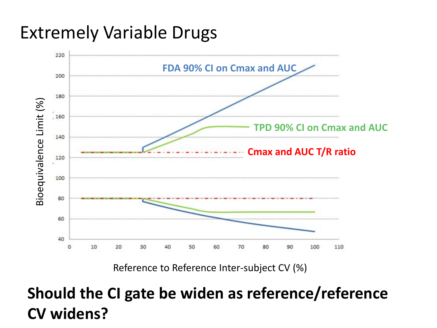#### Extremely Variable Drugs



Reference to Reference Inter-subject CV (%)

#### **Should the CI gate be widen as reference/reference CV widens?**